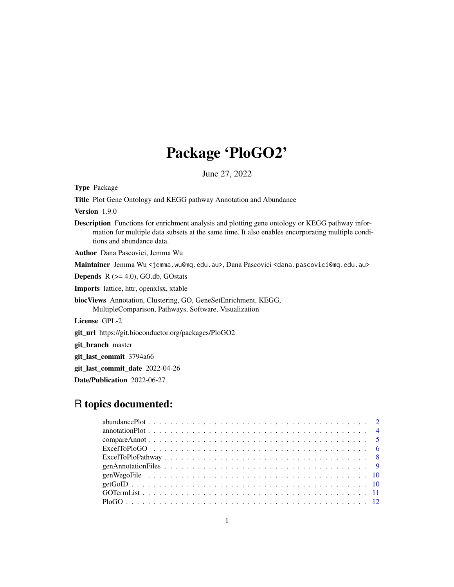# Package 'PloGO2'

June 27, 2022

Type Package

Title Plot Gene Ontology and KEGG pathway Annotation and Abundance

Version 1.9.0

Description Functions for enrichment analysis and plotting gene ontology or KEGG pathway information for multiple data subsets at the same time. It also enables encorporating multiple conditions and abundance data.

Author Dana Pascovici, Jemma Wu

Maintainer Jemma Wu <jemma.wu@mq.edu.au>, Dana Pascovici <dana.pascovici@mq.edu.au>

**Depends**  $R$  ( $>= 4.0$ ), GO.db, GOstats

Imports lattice, httr, openxlsx, xtable

biocViews Annotation, Clustering, GO, GeneSetEnrichment, KEGG, MultipleComparison, Pathways, Software, Visualization

License GPL-2

git\_url https://git.bioconductor.org/packages/PloGO2

git\_branch master

git\_last\_commit 3794a66

git\_last\_commit\_date 2022-04-26

Date/Publication 2022-06-27

# R topics documented: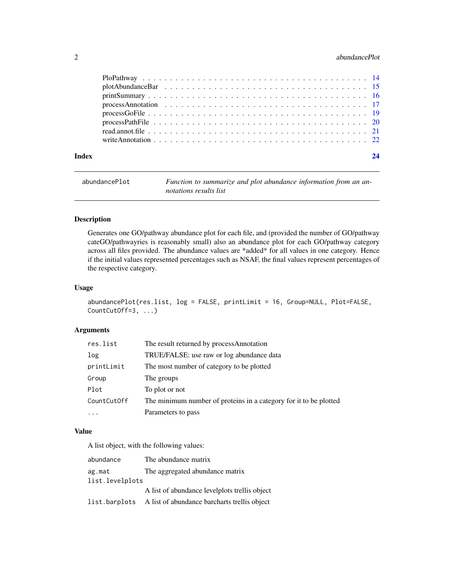# <span id="page-1-0"></span>2 abundancePlot

| Index |  |  |  |  |  |  |  |  |  |  |  |  |  |  |  |  |  |
|-------|--|--|--|--|--|--|--|--|--|--|--|--|--|--|--|--|--|

| abundancePlot | Function to summarize and plot abundance information from an an- |
|---------------|------------------------------------------------------------------|
|               | notations results list                                           |

#### Description

Generates one GO/pathway abundance plot for each file, and (provided the number of GO/pathway cateGO/pathwayries is reasonably small) also an abundance plot for each GO/pathway category across all files provided. The abundance values are \*added\* for all values in one category. Hence if the initial values represented percentages such as NSAF, the final values represent percentages of the respective category.

# Usage

```
abundancePlot(res.list, log = FALSE, printLimit = 16, Group=NULL, Plot=FALSE,
CountCutOff=3, ...)
```
# Arguments

| res.list    | The result returned by processAnnotation                          |
|-------------|-------------------------------------------------------------------|
| log         | TRUE/FALSE: use raw or log abundance data                         |
| printLimit  | The most number of category to be plotted                         |
| Group       | The groups                                                        |
| Plot        | To plot or not                                                    |
| CountCutOff | The minimum number of proteins in a category for it to be plotted |
|             | Parameters to pass                                                |

# Value

A list object, with the following values:

| abundance       | The abundance matrix                                       |
|-----------------|------------------------------------------------------------|
| ag.mat          | The aggregated abundance matrix                            |
| list.levelplots |                                                            |
|                 | A list of abundance levelplots trellis object              |
|                 | list.barplots A list of abundance barcharts trellis object |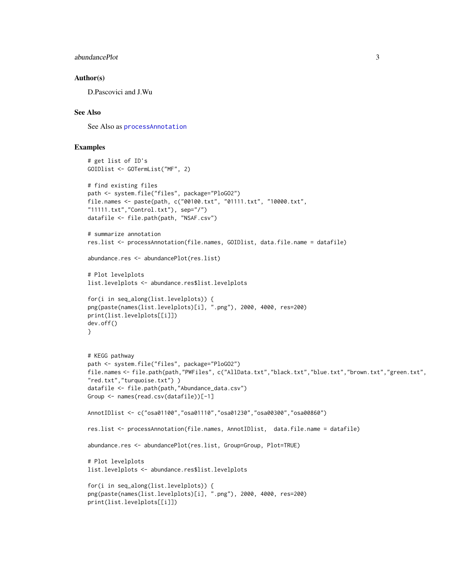```
abundancePlot 3
```
#### Author(s)

D.Pascovici and J.Wu

#### See Also

See Also as [processAnnotation](#page-16-1)

```
# get list of ID's
GOIDlist <- GOTermList("MF", 2)
# find existing files
path <- system.file("files", package="PloGO2")
file.names <- paste(path, c("00100.txt", "01111.txt", "10000.txt",
"11111.txt","Control.txt"), sep="/")
datafile <- file.path(path, "NSAF.csv")
# summarize annotation
res.list <- processAnnotation(file.names, GOIDlist, data.file.name = datafile)
abundance.res <- abundancePlot(res.list)
# Plot levelplots
list.levelplots <- abundance.res$list.levelplots
for(i in seq_along(list.levelplots)) {
png(paste(names(list.levelplots)[i], ".png"), 2000, 4000, res=200)
print(list.levelplots[[i]])
dev.off()
}
# KEGG pathway
path <- system.file("files", package="PloGO2")
file.names <- file.path(path,"PWFiles", c("AllData.txt","black.txt","blue.txt","brown.txt","green.txt",
"red.txt","turquoise.txt") )
datafile <- file.path(path,"Abundance_data.csv")
Group <- names(read.csv(datafile))[-1]
AnnotIDlist <- c("osa01100","osa01110","osa01230","osa00300","osa00860")
res.list <- processAnnotation(file.names, AnnotIDlist, data.file.name = datafile)
abundance.res <- abundancePlot(res.list, Group=Group, Plot=TRUE)
# Plot levelplots
list.levelplots <- abundance.res$list.levelplots
for(i in seq_along(list.levelplots)) {
png(paste(names(list.levelplots)[i], ".png"), 2000, 4000, res=200)
print(list.levelplots[[i]])
```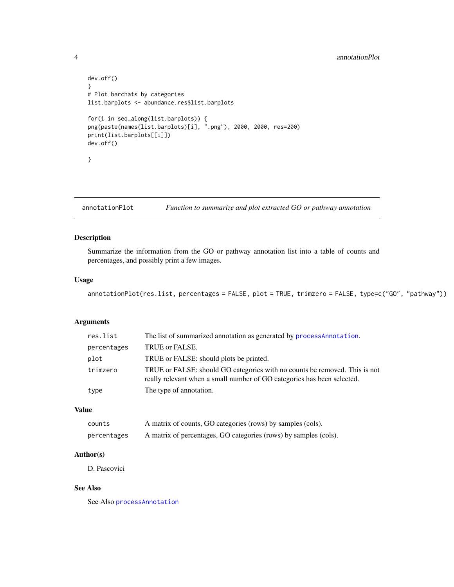# <span id="page-3-0"></span>4 annotationPlot

```
dev.off()
}
# Plot barchats by categories
list.barplots <- abundance.res$list.barplots
for(i in seq_along(list.barplots)) {
png(paste(names(list.barplots)[i], ".png"), 2000, 2000, res=200)
print(list.barplots[[i]])
dev.off()
}
```
annotationPlot *Function to summarize and plot extracted GO or pathway annotation*

# Description

Summarize the information from the GO or pathway annotation list into a table of counts and percentages, and possibly print a few images.

#### Usage

```
annotationPlot(res.list, percentages = FALSE, plot = TRUE, trimzero = FALSE, type=c("GO", "pathway"))
```
# Arguments

| res.list    | The list of summarized annotation as generated by processAnnotation.                                                                                  |
|-------------|-------------------------------------------------------------------------------------------------------------------------------------------------------|
| percentages | TRUE or FALSE.                                                                                                                                        |
| plot        | TRUE or FALSE: should plots be printed.                                                                                                               |
| trimzero    | TRUE or FALSE: should GO categories with no counts be removed. This is not<br>really relevant when a small number of GO categories has been selected. |
| type        | The type of annotation.                                                                                                                               |

# Value

| counts      | A matrix of counts, GO categories (rows) by samples (cols).      |
|-------------|------------------------------------------------------------------|
| percentages | A matrix of percentages, GO categories (rows) by samples (cols). |

# Author(s)

D. Pascovici

# See Also

See Also [processAnnotation](#page-16-1)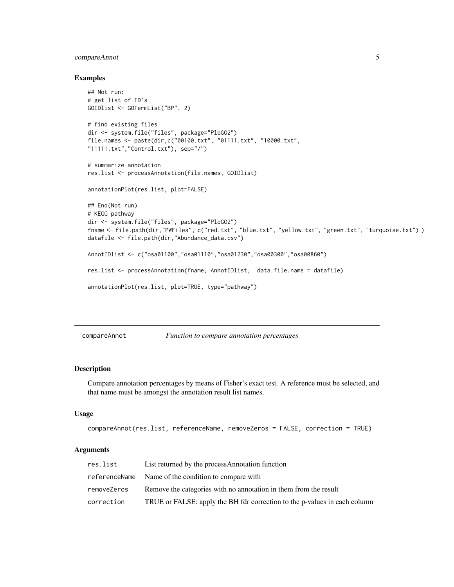# <span id="page-4-0"></span>compareAnnot 5

#### Examples

```
## Not run:
# get list of ID's
GOIDlist <- GOTermList("BP", 2)
# find existing files
dir <- system.file("files", package="PloGO2")
file.names <- paste(dir,c("00100.txt", "01111.txt", "10000.txt",
"11111.txt","Control.txt"), sep="/")
# summarize annotation
res.list <- processAnnotation(file.names, GOIDlist)
annotationPlot(res.list, plot=FALSE)
## End(Not run)
# KEGG pathway
dir <- system.file("files", package="PloGO2")
fname <- file.path(dir,"PWFiles", c("red.txt", "blue.txt", "yellow.txt", "green.txt", "turquoise.txt") )
datafile <- file.path(dir,"Abundance_data.csv")
AnnotIDlist <- c("osa01100","osa01110","osa01230","osa00300","osa00860")
res.list <- processAnnotation(fname, AnnotIDlist, data.file.name = datafile)
annotationPlot(res.list, plot=TRUE, type="pathway")
```
compareAnnot *Function to compare annotation percentages*

#### Description

Compare annotation percentages by means of Fisher's exact test. A reference must be selected, and that name must be amongst the annotation result list names.

#### Usage

```
compareAnnot(res.list, referenceName, removeZeros = FALSE, correction = TRUE)
```
#### Arguments

| res.list    | List returned by the processAnnotation function                           |
|-------------|---------------------------------------------------------------------------|
|             | referenceName Name of the condition to compare with                       |
| removeZeros | Remove the categories with no annotation in them from the result          |
| correction  | TRUE or FALSE: apply the BH fdr correction to the p-values in each column |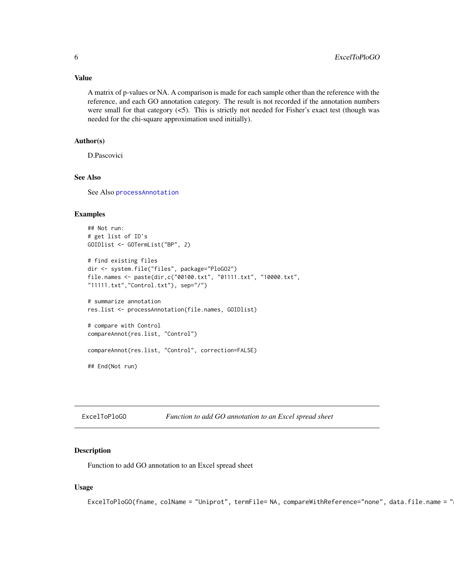# <span id="page-5-0"></span>Value

A matrix of p-values or NA. A comparison is made for each sample other than the reference with the reference, and each GO annotation category. The result is not recorded if the annotation numbers were small for that category  $\langle 5 \rangle$ . This is strictly not needed for Fisher's exact test (though was needed for the chi-square approximation used initially).

#### Author(s)

D.Pascovici

# See Also

See Also [processAnnotation](#page-16-1)

#### Examples

```
## Not run:
# get list of ID's
GOIDlist <- GOTermList("BP", 2)
# find existing files
dir <- system.file("files", package="PloGO2")
file.names <- paste(dir,c("00100.txt", "01111.txt", "10000.txt",
"11111.txt","Control.txt"), sep="/")
# summarize annotation
res.list <- processAnnotation(file.names, GOIDlist)
# compare with Control
compareAnnot(res.list, "Control")
compareAnnot(res.list, "Control", correction=FALSE)
## End(Not run)
```
ExcelToPloGO *Function to add GO annotation to an Excel spread sheet*

#### Description

Function to add GO annotation to an Excel spread sheet

#### Usage

ExcelToPloGO(fname, colName = "Uniprot", termFile= NA, compareWithReference="none", data.file.name = "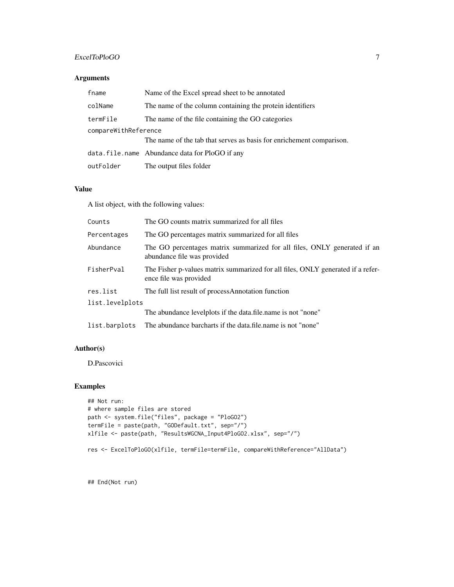# ExcelToPloGO 7

# Arguments

| fname                | Name of the Excel spread sheet to be annotated                       |
|----------------------|----------------------------------------------------------------------|
| colName              | The name of the column containing the protein identifiers            |
| termFile             | The name of the file containing the GO categories                    |
| compareWithReference |                                                                      |
|                      | The name of the tab that serves as basis for enrichement comparison. |
|                      | data.file.name Abundance data for PloGO if any                       |
| outFolder            | The output files folder                                              |

#### Value

A list object, with the following values:

| Counts          | The GO counts matrix summarized for all files                                                             |
|-----------------|-----------------------------------------------------------------------------------------------------------|
| Percentages     | The GO percentages matrix summarized for all files                                                        |
| Abundance       | The GO percentages matrix summarized for all files, ONLY generated if an<br>abundance file was provided   |
| FisherPval      | The Fisher p-values matrix summarized for all files, ONLY generated if a refer-<br>ence file was provided |
| res.list        | The full list result of processAnnotation function                                                        |
| list.levelplots |                                                                                                           |
|                 | The abundance levelplots if the data file name is not "none"                                              |
| list.barplots   | The abundance barcharts if the data.file.name is not "none"                                               |

# Author(s)

D.Pascovici

# Examples

```
## Not run:
# where sample files are stored
path <- system.file("files", package = "PloGO2")
termFile = paste(path, "GODefault.txt", sep="/")
xlfile <- paste(path, "ResultsWGCNA_Input4PloGO2.xlsx", sep="/")
res <- ExcelToPloGO(xlfile, termFile=termFile, compareWithReference="AllData")
```
## End(Not run)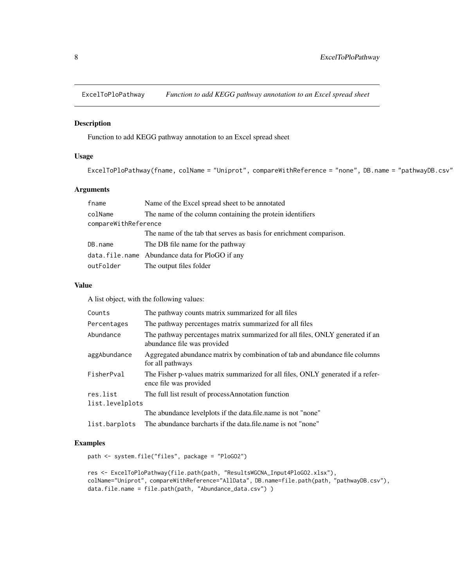<span id="page-7-0"></span>

# Description

Function to add KEGG pathway annotation to an Excel spread sheet

#### Usage

ExcelToPloPathway(fname, colName = "Uniprot", compareWithReference = "none", DB.name = "pathwayDB.csv"

#### Arguments

| fname                | Name of the Excel spread sheet to be annotated                      |
|----------------------|---------------------------------------------------------------------|
| colName              | The name of the column containing the protein identifiers           |
| compareWithReference |                                                                     |
|                      | The name of the tab that serves as basis for enrichment comparison. |
| DB.name              | The DB file name for the pathway                                    |
|                      | data.file.name Abundance data for PloGO if any                      |
| outFolder            | The output files folder                                             |

# Value

A list object, with the following values:

| Counts          | The pathway counts matrix summarized for all files                                                           |
|-----------------|--------------------------------------------------------------------------------------------------------------|
| Percentages     | The pathway percentages matrix summarized for all files                                                      |
| Abundance       | The pathway percentages matrix summarized for all files, ONLY generated if an<br>abundance file was provided |
| aggAbundance    | Aggregated abundance matrix by combination of tab and abundance file columns<br>for all pathways             |
| FisherPval      | The Fisher p-values matrix summarized for all files, ONLY generated if a refer-<br>ence file was provided    |
| res.list        | The full list result of processAnnotation function                                                           |
| list.levelplots |                                                                                                              |
|                 | The abundance levelplots if the data file name is not "none"                                                 |
| list.barplots   | The abundance barcharts if the data.file.name is not "none"                                                  |

```
path <- system.file("files", package = "PloGO2")
```

```
res <- ExcelToPloPathway(file.path(path, "ResultsWGCNA_Input4PloGO2.xlsx"),
colName="Uniprot", compareWithReference="AllData", DB.name=file.path(path, "pathwayDB.csv"),
data.file.name = file.path(path, "Abundance_data.csv") )
```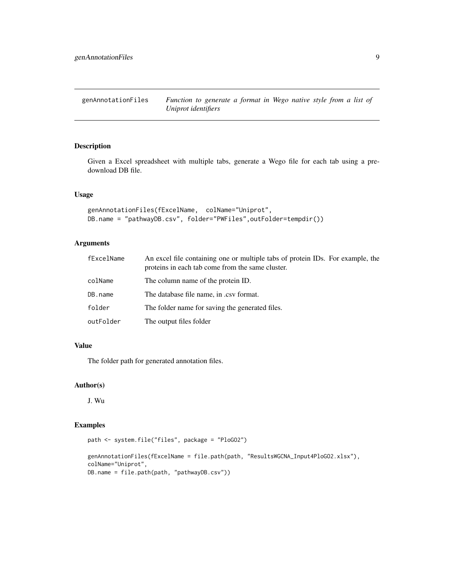<span id="page-8-0"></span>genAnnotationFiles *Function to generate a format in Wego native style from a list of Uniprot identifiers*

# Description

Given a Excel spreadsheet with multiple tabs, generate a Wego file for each tab using a predownload DB file.

#### Usage

```
genAnnotationFiles(fExcelName, colName="Uniprot",
DB.name = "pathwayDB.csv", folder="PWFiles",outFolder=tempdir())
```
# Arguments

| fExcelName | An excel file containing one or multiple tabs of protein IDs. For example, the<br>proteins in each tab come from the same cluster. |
|------------|------------------------------------------------------------------------------------------------------------------------------------|
| colName    | The column name of the protein ID.                                                                                                 |
| DB.name    | The database file name, in .csv format.                                                                                            |
| folder     | The folder name for saving the generated files.                                                                                    |
| outFolder  | The output files folder                                                                                                            |

# Value

The folder path for generated annotation files.

#### Author(s)

J. Wu

```
path <- system.file("files", package = "PloGO2")
```

```
genAnnotationFiles(fExcelName = file.path(path, "ResultsWGCNA_Input4PloGO2.xlsx"),
colName="Uniprot",
DB.name = file.path(path, "pathwayDB.csv"))
```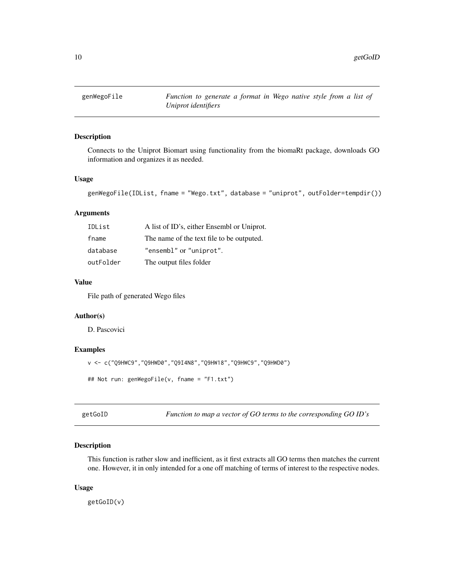<span id="page-9-0"></span>

#### Description

Connects to the Uniprot Biomart using functionality from the biomaRt package, downloads GO information and organizes it as needed.

# Usage

```
genWegoFile(IDList, fname = "Wego.txt", database = "uniprot", outFolder=tempdir())
```
# Arguments

| IDList    | A list of ID's, either Ensembl or Uniprot. |
|-----------|--------------------------------------------|
| fname     | The name of the text file to be outputed.  |
| database  | "ensembl" or "uniprot".                    |
| outFolder | The output files folder                    |

# Value

File path of generated Wego files

# Author(s)

D. Pascovici

# Examples

```
v <- c("Q9HWC9","Q9HWD0","Q9I4N8","Q9HW18","Q9HWC9","Q9HWD0")
## Not run: genWegoFile(v, fname = "F1.txt")
```
getGoID *Function to map a vector of GO terms to the corresponding GO ID's*

# Description

This function is rather slow and inefficient, as it first extracts all GO terms then matches the current one. However, it in only intended for a one off matching of terms of interest to the respective nodes.

#### Usage

getGoID(v)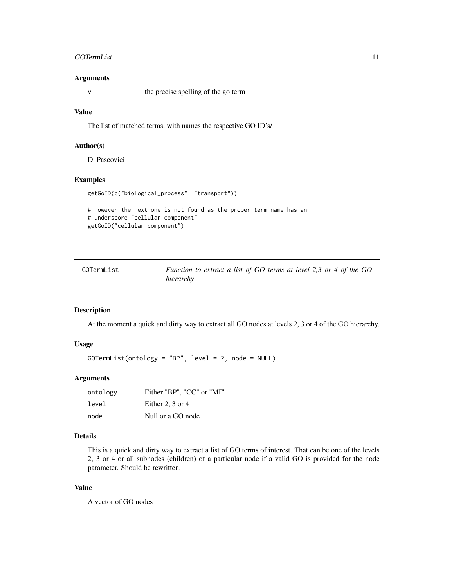#### <span id="page-10-0"></span>GOTermList 11

#### Arguments

v the precise spelling of the go term

# Value

The list of matched terms, with names the respective GO ID's/

# Author(s)

D. Pascovici

# Examples

```
getGoID(c("biological_process", "transport"))
```

```
# however the next one is not found as the proper term name has an
# underscore "cellular_component"
getGoID("cellular component")
```

| GOTermList | Function to extract a list of GO terms at level 2,3 or 4 of the GO |  |
|------------|--------------------------------------------------------------------|--|
|            | hierarchy                                                          |  |

# Description

At the moment a quick and dirty way to extract all GO nodes at levels 2, 3 or 4 of the GO hierarchy.

# Usage

```
GOTermList(ontology = "BP", level = 2, node = NULL)
```
# Arguments

| ontology | Either "BP", "CC" or "MF" |
|----------|---------------------------|
| level    | Either 2, $3$ or $4$      |
| node     | Null or a GO node         |

# Details

This is a quick and dirty way to extract a list of GO terms of interest. That can be one of the levels 2, 3 or 4 or all subnodes (children) of a particular node if a valid GO is provided for the node parameter. Should be rewritten.

# Value

A vector of GO nodes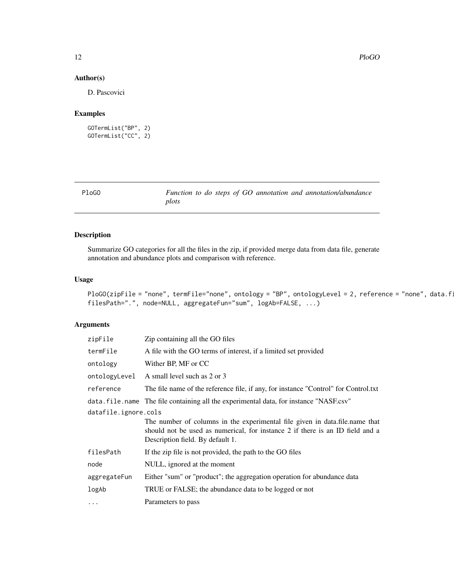# <span id="page-11-0"></span>Author(s)

D. Pascovici

# Examples

```
GOTermList("BP", 2)
GOTermList("CC", 2)
```

| PloGO |       |  |  |  | Function to do steps of GO annotation and annotation/abundance |
|-------|-------|--|--|--|----------------------------------------------------------------|
|       | plots |  |  |  |                                                                |

# Description

Summarize GO categories for all the files in the zip, if provided merge data from data file, generate annotation and abundance plots and comparison with reference.

#### Usage

```
PloGO(zipFile = "none", termFile="none", ontology = "BP", ontologyLevel = 2, reference = "none", data.fi
filesPath=".", node=NULL, aggregateFun="sum", logAb=FALSE, ...)
```
# Arguments

| zipFile              | Zip containing all the GO files                                                                                                                                                                  |
|----------------------|--------------------------------------------------------------------------------------------------------------------------------------------------------------------------------------------------|
| termFile             | A file with the GO terms of interest, if a limited set provided                                                                                                                                  |
| ontology             | Wither BP, MF or CC                                                                                                                                                                              |
| ontologyLevel        | A small level such as 2 or 3                                                                                                                                                                     |
| reference            | The file name of the reference file, if any, for instance "Control" for Control.txt                                                                                                              |
|                      | data. file. name The file containing all the experimental data, for instance "NASF.csv"                                                                                                          |
| datafile.ignore.cols |                                                                                                                                                                                                  |
|                      | The number of columns in the experimental file given in data.file.name that<br>should not be used as numerical, for instance 2 if there is an ID field and a<br>Description field. By default 1. |
| filesPath            | If the zip file is not provided, the path to the GO files                                                                                                                                        |
| node                 | NULL, ignored at the moment                                                                                                                                                                      |
| aggregateFun         | Either "sum" or "product"; the aggregation operation for abundance data                                                                                                                          |
| logAb                | TRUE or FALSE; the abundance data to be logged or not                                                                                                                                            |
| $\ddots$             | Parameters to pass                                                                                                                                                                               |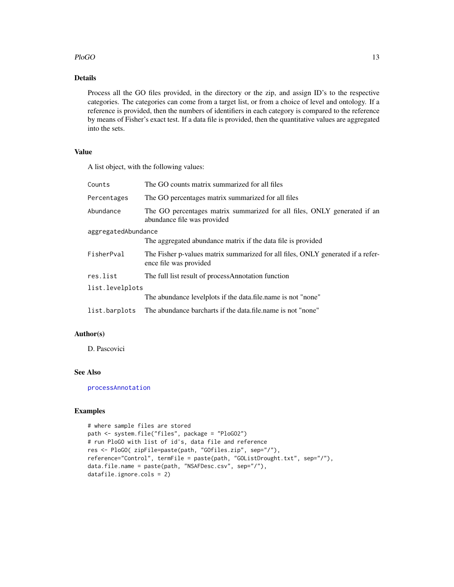# <span id="page-12-0"></span> $P$ loGO  $\qquad \qquad$  13

# Details

Process all the GO files provided, in the directory or the zip, and assign ID's to the respective categories. The categories can come from a target list, or from a choice of level and ontology. If a reference is provided, then the numbers of identifiers in each category is compared to the reference by means of Fisher's exact test. If a data file is provided, then the quantitative values are aggregated into the sets.

# Value

A list object, with the following values:

| Counts              | The GO counts matrix summarized for all files                                                             |  |  |
|---------------------|-----------------------------------------------------------------------------------------------------------|--|--|
| Percentages         | The GO percentages matrix summarized for all files                                                        |  |  |
| Abundance           | The GO percentages matrix summarized for all files, ONLY generated if an<br>abundance file was provided   |  |  |
| aggregatedAbundance |                                                                                                           |  |  |
|                     | The aggregated abundance matrix if the data file is provided                                              |  |  |
| FisherPval          | The Fisher p-values matrix summarized for all files, ONLY generated if a refer-<br>ence file was provided |  |  |
| res.list            | The full list result of processAnnotation function                                                        |  |  |
| list.levelplots     |                                                                                                           |  |  |
|                     | The abundance levelplots if the data.file.name is not "none"                                              |  |  |
| list.barplots       | The abundance barcharts if the data, file, name is not "none"                                             |  |  |

# Author(s)

D. Pascovici

# See Also

[processAnnotation](#page-16-1)

```
# where sample files are stored
path <- system.file("files", package = "PloGO2")
# run PloGO with list of id's, data file and reference
res <- PloGO( zipFile=paste(path, "GOfiles.zip", sep="/"),
reference="Control", termFile = paste(path, "GOListDrought.txt", sep="/"),
data.file.name = paste(path, "NSAFDesc.csv", sep="/"),
datafile.ignore.cols = 2)
```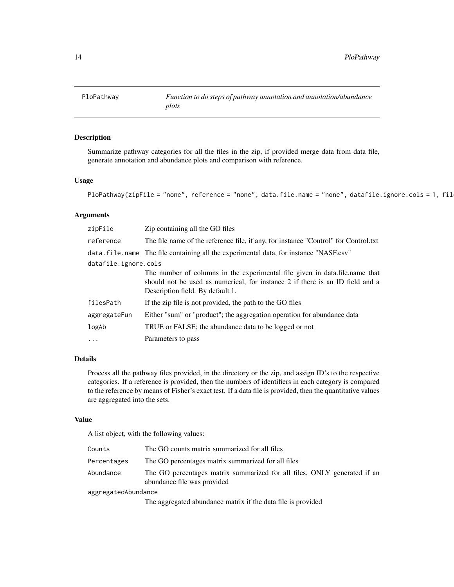<span id="page-13-0"></span>

#### Description

Summarize pathway categories for all the files in the zip, if provided merge data from data file, generate annotation and abundance plots and comparison with reference.

# Usage

```
PloPathway(zipFile = "none", reference = "none", data.file.name = "none", datafile.ignore.cols = 1, fil
```
#### Arguments

| zipFile              | Zip containing all the GO files                                                                                                                                                                  |  |  |
|----------------------|--------------------------------------------------------------------------------------------------------------------------------------------------------------------------------------------------|--|--|
| reference            | The file name of the reference file, if any, for instance "Control" for Control.txt                                                                                                              |  |  |
|                      | data. file name The file containing all the experimental data, for instance "NASF.csv"                                                                                                           |  |  |
| datafile.ignore.cols |                                                                                                                                                                                                  |  |  |
|                      | The number of columns in the experimental file given in data.file.name that<br>should not be used as numerical, for instance 2 if there is an ID field and a<br>Description field. By default 1. |  |  |
| filesPath            | If the zip file is not provided, the path to the GO files                                                                                                                                        |  |  |
| aggregateFun         | Either "sum" or "product"; the aggregation operation for abundance data                                                                                                                          |  |  |
| logAb                | TRUE or FALSE; the abundance data to be logged or not                                                                                                                                            |  |  |
| $\ddots$             | Parameters to pass                                                                                                                                                                               |  |  |

# Details

Process all the pathway files provided, in the directory or the zip, and assign ID's to the respective categories. If a reference is provided, then the numbers of identifiers in each category is compared to the reference by means of Fisher's exact test. If a data file is provided, then the quantitative values are aggregated into the sets.

# Value

A list object, with the following values:

| Counts              | The GO counts matrix summarized for all files                                                           |  |
|---------------------|---------------------------------------------------------------------------------------------------------|--|
| Percentages         | The GO percentages matrix summarized for all files                                                      |  |
| Abundance           | The GO percentages matrix summarized for all files, ONLY generated if an<br>abundance file was provided |  |
| aggregatedAbundance |                                                                                                         |  |

The aggregated abundance matrix if the data file is provided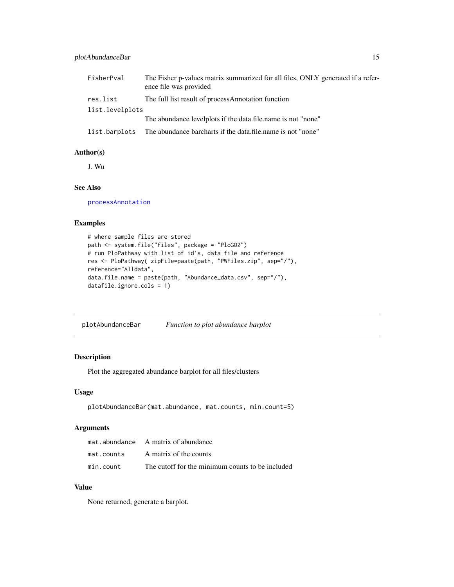# <span id="page-14-0"></span>plotAbundanceBar 15

| FisherPval      | The Fisher p-values matrix summarized for all files, ONLY generated if a refer-<br>ence file was provided |
|-----------------|-----------------------------------------------------------------------------------------------------------|
| res.list        | The full list result of processAnnotation function                                                        |
| list.levelplots |                                                                                                           |
|                 | The abundance levelplots if the data, file, name is not "none"                                            |
|                 | list.barplots The abundance barcharts if the data.file.name is not "none"                                 |

#### Author(s)

J. Wu

# See Also

[processAnnotation](#page-16-1)

#### Examples

```
# where sample files are stored
path <- system.file("files", package = "PloGO2")
# run PloPathway with list of id's, data file and reference
res <- PloPathway( zipFile=paste(path, "PWFiles.zip", sep="/"),
reference="Alldata",
data.file.name = paste(path, "Abundance_data.csv", sep="/"),
datafile.ignore.cols = 1)
```
plotAbundanceBar *Function to plot abundance barplot*

# Description

Plot the aggregated abundance barplot for all files/clusters

#### Usage

```
plotAbundanceBar(mat.abundance, mat.counts, min.count=5)
```
# Arguments

|            | mat.abundance A matrix of abundance              |
|------------|--------------------------------------------------|
| mat.counts | A matrix of the counts                           |
| min.count  | The cutoff for the minimum counts to be included |

#### Value

None returned, generate a barplot.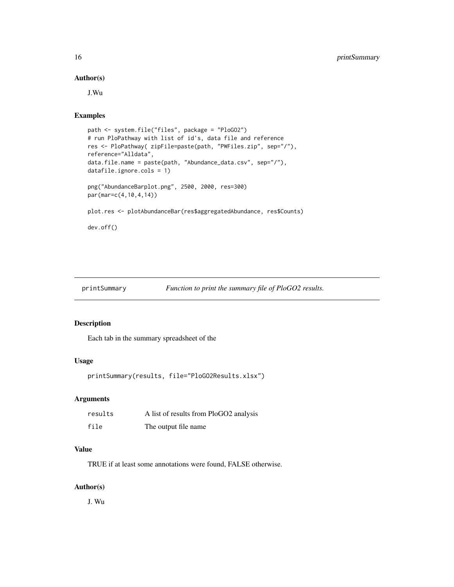#### <span id="page-15-0"></span>Author(s)

J.Wu

# Examples

```
path <- system.file("files", package = "PloGO2")
# run PloPathway with list of id's, data file and reference
res <- PloPathway( zipFile=paste(path, "PWFiles.zip", sep="/"),
reference="Alldata",
data.file.name = paste(path, "Abundance_data.csv", sep="/"),
datafile.ignore.cols = 1)
png("AbundanceBarplot.png", 2500, 2000, res=300)
par(mar=c(4,10,4,14))
plot.res <- plotAbundanceBar(res$aggregatedAbundance, res$Counts)
dev.off()
```
printSummary *Function to print the summary file of PloGO2 results.*

# Description

Each tab in the summary spreadsheet of the

# Usage

```
printSummary(results, file="PloGO2Results.xlsx")
```
# Arguments

| results | A list of results from PloGO2 analysis |
|---------|----------------------------------------|
| file    | The output file name                   |

# Value

TRUE if at least some annotations were found, FALSE otherwise.

#### Author(s)

J. Wu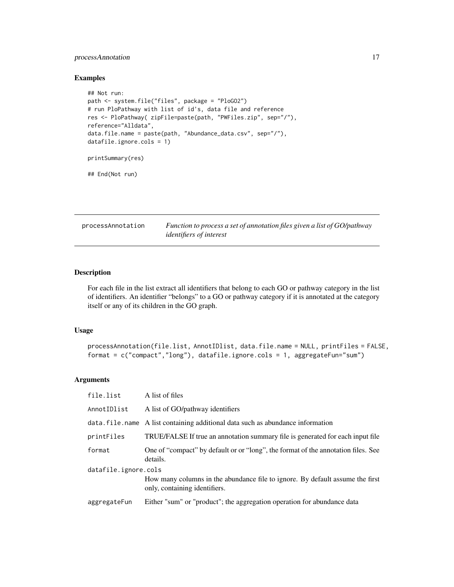# <span id="page-16-0"></span>processAnnotation 17

#### Examples

```
## Not run:
path <- system.file("files", package = "PloGO2")
# run PloPathway with list of id's, data file and reference
res <- PloPathway( zipFile=paste(path, "PWFiles.zip", sep="/"),
reference="Alldata",
data.file.name = paste(path, "Abundance_data.csv", sep="/"),
datafile.ignore.cols = 1)
printSummary(res)
```
## End(Not run)

<span id="page-16-1"></span>processAnnotation *Function to process a set of annotation files given a list of GO/pathway identifiers of interest*

# Description

For each file in the list extract all identifiers that belong to each GO or pathway category in the list of identifiers. An identifier "belongs" to a GO or pathway category if it is annotated at the category itself or any of its children in the GO graph.

#### Usage

```
processAnnotation(file.list, AnnotIDlist, data.file.name = NULL, printFiles = FALSE,
format = c("compact","long"), datafile.ignore.cols = 1, aggregateFun="sum")
```
# Arguments

| file.list            | A list of files                                                                                                |  |
|----------------------|----------------------------------------------------------------------------------------------------------------|--|
| AnnotIDlist          | A list of GO/pathway identifiers                                                                               |  |
|                      | data.file.name A list containing additional data such as abundance information                                 |  |
| printFiles           | TRUE/FALSE If true an annotation summary file is generated for each input file                                 |  |
| format               | One of "compact" by default or or "long", the format of the annotation files. See<br>details.                  |  |
| datafile.ignore.cols |                                                                                                                |  |
|                      | How many columns in the abundance file to ignore. By default assume the first<br>only, containing identifiers. |  |
| aggregateFun         | Either "sum" or "product"; the aggregation operation for abundance data                                        |  |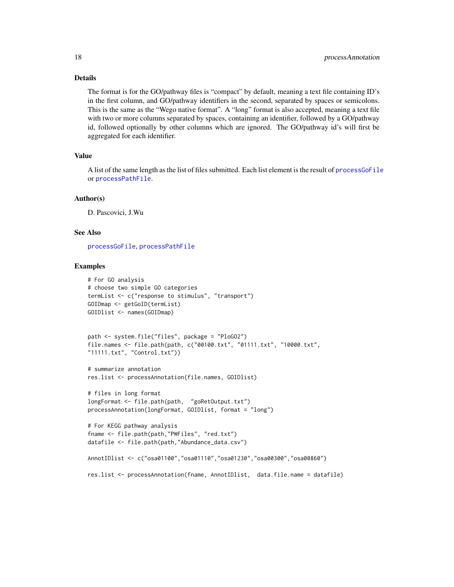# Details

The format is for the GO/pathway files is "compact" by default, meaning a text file containing ID's in the first column, and GO/pathway identifiers in the second, separated by spaces or semicolons. This is the same as the "Wego native format". A "long" format is also accepted, meaning a text file with two or more columns separated by spaces, containing an identifier, followed by a GO/pathway id, followed optionally by other columns which are ignored. The GO/pathway id's will first be aggregated for each identifier.

#### Value

A list of the same length as the list of files submitted. Each list element is the result of [processGoFile](#page-18-1) or [processPathFile](#page-19-1).

#### Author(s)

D. Pascovici, J.Wu

# See Also

[processGoFile](#page-18-1), [processPathFile](#page-19-1)

```
# For GO analysis
# choose two simple GO categories
termList <- c("response to stimulus", "transport")
GOIDmap <- getGoID(termList)
GOIDlist <- names(GOIDmap)
path <- system.file("files", package = "PloGO2")
file.names <- file.path(path, c("00100.txt", "01111.txt", "10000.txt",
"11111.txt", "Control.txt"))
# summarize annotation
res.list <- processAnnotation(file.names, GOIDlist)
# files in long format
longFormat <- file.path(path, "goRetOutput.txt")
processAnnotation(longFormat, GOIDlist, format = "long")
# For KEGG pathway analysis
fname <- file.path(path,"PWFiles", "red.txt")
datafile <- file.path(path,"Abundance_data.csv")
AnnotIDlist <- c("osa01100","osa01110","osa01230","osa00300","osa00860")
res.list <- processAnnotation(fname, AnnotIDlist, data.file.name = datafile)
```
<span id="page-17-0"></span>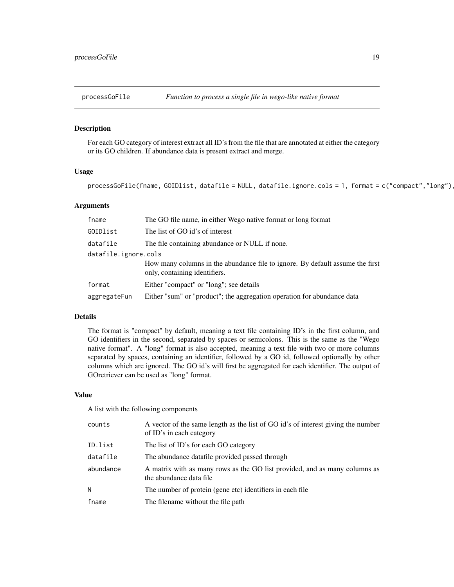<span id="page-18-1"></span><span id="page-18-0"></span>

#### Description

For each GO category of interest extract all ID's from the file that are annotated at either the category or its GO children. If abundance data is present extract and merge.

#### Usage

 $processGoFile(fname, GOIDlist, datafile = NULL, datafile.jpg \dots = 1, format = c("compact", "long")$ 

#### Arguments

| fname                | The GO file name, in either Wego native format or long format                                                  |
|----------------------|----------------------------------------------------------------------------------------------------------------|
| GOIDlist             | The list of GO id's of interest                                                                                |
| datafile             | The file containing abundance or NULL if none.                                                                 |
| datafile.ignore.cols |                                                                                                                |
|                      | How many columns in the abundance file to ignore. By default assume the first<br>only, containing identifiers. |
| format               | Either "compact" or "long"; see details                                                                        |
| aggregateFun         | Either "sum" or "product"; the aggregation operation for abundance data                                        |

#### Details

The format is "compact" by default, meaning a text file containing ID's in the first column, and GO identifiers in the second, separated by spaces or semicolons. This is the same as the "Wego native format". A "long" format is also accepted, meaning a text file with two or more columns separated by spaces, containing an identifier, followed by a GO id, followed optionally by other columns which are ignored. The GO id's will first be aggregated for each identifier. The output of GOretriever can be used as "long" format.

#### Value

A list with the following components

| counts    | A vector of the same length as the list of GO id's of interest giving the number<br>of ID's in each category |
|-----------|--------------------------------------------------------------------------------------------------------------|
| ID.list   | The list of ID's for each GO category                                                                        |
| datafile  | The abundance datafile provided passed through                                                               |
| abundance | A matrix with as many rows as the GO list provided, and as many columns as<br>the abundance data file        |
| N         | The number of protein (gene etc) identifiers in each file                                                    |
| fname     | The filename without the file path                                                                           |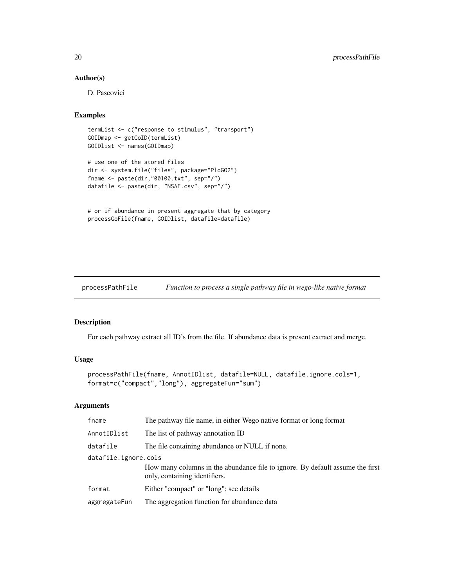# Author(s)

D. Pascovici

#### Examples

```
termList <- c("response to stimulus", "transport")
GOIDmap <- getGoID(termList)
GOIDlist <- names(GOIDmap)
# use one of the stored files
dir <- system.file("files", package="PloGO2")
fname <- paste(dir,"00100.txt", sep="/")
datafile <- paste(dir, "NSAF.csv", sep="/")
```

```
# or if abundance in present aggregate that by category
processGoFile(fname, GOIDlist, datafile=datafile)
```
<span id="page-19-1"></span>processPathFile *Function to process a single pathway file in wego-like native format*

#### Description

For each pathway extract all ID's from the file. If abundance data is present extract and merge.

# Usage

```
processPathFile(fname, AnnotIDlist, datafile=NULL, datafile.ignore.cols=1,
format=c("compact","long"), aggregateFun="sum")
```
### Arguments

| fname                | The pathway file name, in either Wego native format or long format                                             |  |
|----------------------|----------------------------------------------------------------------------------------------------------------|--|
| AnnotIDlist          | The list of pathway annotation ID                                                                              |  |
| datafile             | The file containing abundance or NULL if none.                                                                 |  |
| datafile.ignore.cols |                                                                                                                |  |
|                      | How many columns in the abundance file to ignore. By default assume the first<br>only, containing identifiers. |  |
| format               | Either "compact" or "long"; see details                                                                        |  |
| aggregateFun         | The aggregation function for abundance data                                                                    |  |

<span id="page-19-0"></span>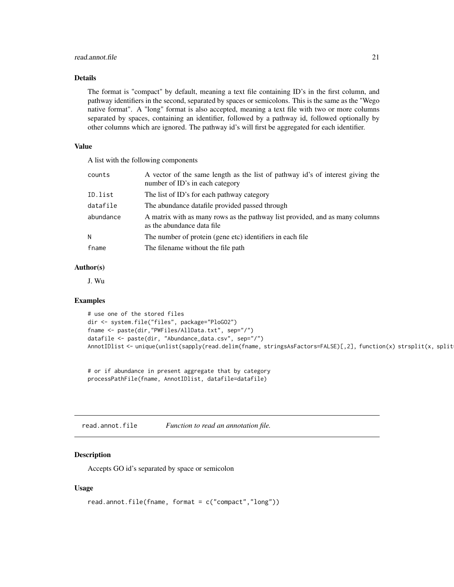#### <span id="page-20-0"></span>read.annot.file 21

#### Details

The format is "compact" by default, meaning a text file containing ID's in the first column, and pathway identifiers in the second, separated by spaces or semicolons. This is the same as the "Wego native format". A "long" format is also accepted, meaning a text file with two or more columns separated by spaces, containing an identifier, followed by a pathway id, followed optionally by other columns which are ignored. The pathway id's will first be aggregated for each identifier.

# Value

A list with the following components

| counts    | A vector of the same length as the list of pathway id's of interest giving the<br>number of ID's in each category |
|-----------|-------------------------------------------------------------------------------------------------------------------|
| ID.list   | The list of ID's for each pathway category                                                                        |
| datafile  | The abundance datafile provided passed through                                                                    |
| abundance | A matrix with as many rows as the pathway list provided, and as many columns<br>as the abundance data file        |
| N         | The number of protein (gene etc) identifiers in each file                                                         |
| fname     | The filename without the file path                                                                                |

#### Author(s)

J. Wu

#### Examples

```
# use one of the stored files
dir <- system.file("files", package="PloGO2")
fname <- paste(dir,"PWFiles/AllData.txt", sep="/")
datafile <- paste(dir, "Abundance_data.csv", sep="/")
AnnotIDlist <- unique(unlist(sapply(read.delim(fname, stringsAsFactors=FALSE)[,2], function(x) strsplit(x, split
```

```
# or if abundance in present aggregate that by category
processPathFile(fname, AnnotIDlist, datafile=datafile)
```
read.annot.file *Function to read an annotation file.*

#### Description

Accepts GO id's separated by space or semicolon

### Usage

```
read.annot.file(fname, format = c("compact","long"))
```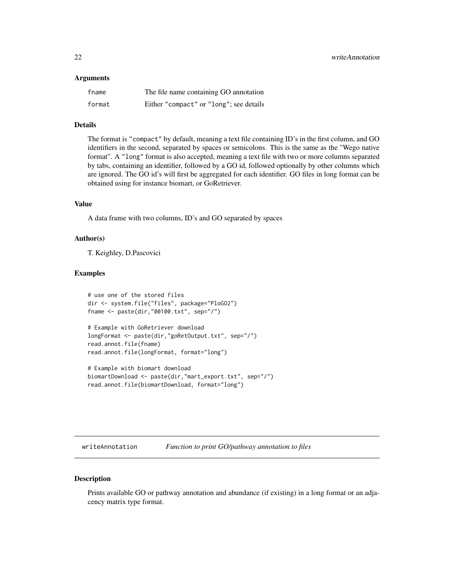#### <span id="page-21-0"></span>**Arguments**

| fname  | The file name containing GO annotation  |
|--------|-----------------------------------------|
| format | Either "compact" or "long"; see details |

#### Details

The format is "compact" by default, meaning a text file containing ID's in the first column, and GO identifiers in the second, separated by spaces or semicolons. This is the same as the "Wego native format". A "long" format is also accepted, meaning a text file with two or more columns separated by tabs, containing an identifier, followed by a GO id, followed optionally by other columns which are ignored. The GO id's will first be aggregated for each identifier. GO files in long format can be obtained using for instance biomart, or GoRetriever.

# Value

A data frame with two columns, ID's and GO separated by spaces

#### Author(s)

T. Keighley, D.Pascovici

# Examples

```
# use one of the stored files
dir <- system.file("files", package="PloGO2")
fname <- paste(dir,"00100.txt", sep="/")
# Example with GoRetriever download
longFormat <- paste(dir,"goRetOutput.txt", sep="/")
read.annot.file(fname)
```

```
read.annot.file(longFormat, format="long")
```

```
# Example with biomart download
biomartDownload <- paste(dir,"mart_export.txt", sep="/")
read.annot.file(biomartDownload, format="long")
```

| writeAnnotation |  |  | Function to print GO/pathway annotation to files |
|-----------------|--|--|--------------------------------------------------|
|-----------------|--|--|--------------------------------------------------|

#### Description

Prints available GO or pathway annotation and abundance (if existing) in a long format or an adjacency matrix type format.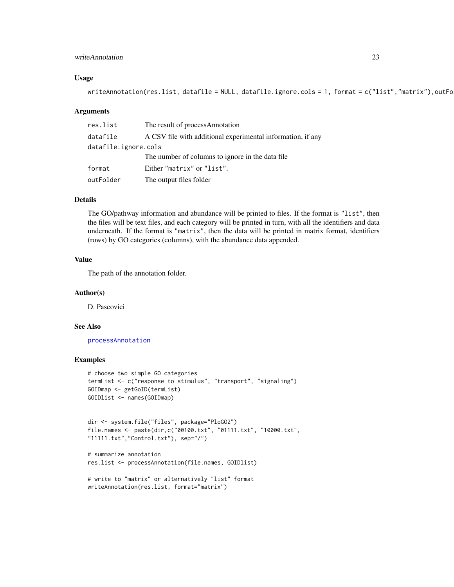# <span id="page-22-0"></span>writeAnnotation 23

#### Usage

```
writeAnnotation(res.list, datafile = NULL, datafile.ignore.cols = 1, format = c("list", "matrix"), outFo
```
#### Arguments

| res.list             | The result of processAnnotation                             |
|----------------------|-------------------------------------------------------------|
| datafile             | A CSV file with additional experimental information, if any |
| datafile.ignore.cols |                                                             |
|                      | The number of columns to ignore in the data file            |
| format               | Either "matrix" or "list".                                  |
| outFolder            | The output files folder                                     |

#### Details

The GO/pathway information and abundance will be printed to files. If the format is "list", then the files will be text files, and each category will be printed in turn, with all the identifiers and data underneath. If the format is "matrix", then the data will be printed in matrix format, identifiers (rows) by GO categories (columns), with the abundance data appended.

#### Value

The path of the annotation folder.

#### Author(s)

D. Pascovici

#### See Also

[processAnnotation](#page-16-1)

```
# choose two simple GO categories
termList <- c("response to stimulus", "transport", "signaling")
GOIDmap <- getGoID(termList)
GOIDlist <- names(GOIDmap)
```

```
dir <- system.file("files", package="PloGO2")
file.names <- paste(dir,c("00100.txt", "01111.txt", "10000.txt",
"11111.txt","Control.txt"), sep="/")
```

```
# summarize annotation
res.list <- processAnnotation(file.names, GOIDlist)
```

```
# write to "matrix" or alternatively "list" format
writeAnnotation(res.list, format="matrix")
```